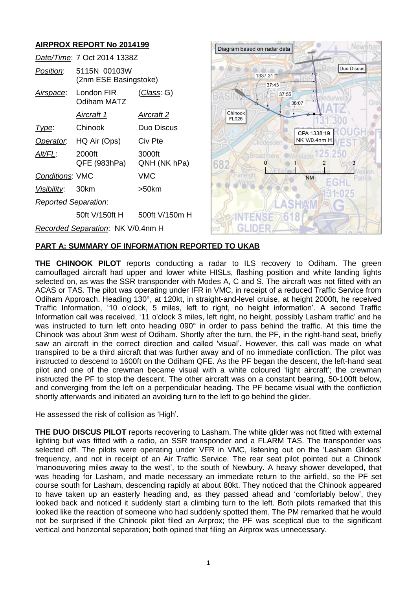# **AIRPROX REPORT No 2014199**

|                             | Date/Time: 7 Oct 2014 1338Z           |                        |  |
|-----------------------------|---------------------------------------|------------------------|--|
| <i>Position</i> :           | 5115N 00103W<br>(2nm ESE Basingstoke) |                        |  |
| Airspace:                   | London FIR<br>Odiham MATZ             | <u>(Class</u> : G)     |  |
|                             | Aircraft 1                            | Aircraft 2             |  |
| Type:                       | Chinook                               | Duo Discus             |  |
|                             | Operator. HQ Air (Ops)                | Civ Pte                |  |
| Alt/FL:                     | 2000ft<br>QFE (983hPa)                | 3000ft<br>QNH (NK hPa) |  |
| <b>Conditions: VMC</b>      |                                       | VMC                    |  |
| Visibility: 30km            |                                       | >50km                  |  |
| <b>Reported Separation:</b> |                                       |                        |  |
|                             | 50ft V/150ft H                        | 500ft V/150m H         |  |
|                             | Recorded Separation: NK V/0.4nm H     |                        |  |



### **PART A: SUMMARY OF INFORMATION REPORTED TO UKAB**

**THE CHINOOK PILOT** reports conducting a radar to ILS recovery to Odiham. The green camouflaged aircraft had upper and lower white HISLs, flashing position and white landing lights selected on, as was the SSR transponder with Modes A, C and S. The aircraft was not fitted with an ACAS or TAS. The pilot was operating under IFR in VMC, in receipt of a reduced Traffic Service from Odiham Approach. Heading 130°, at 120kt, in straight-and-level cruise, at height 2000ft, he received Traffic Information, '10 o'clock, 5 miles, left to right, no height information'. A second Traffic Information call was received, '11 o'clock 3 miles, left right, no height, possibly Lasham traffic' and he was instructed to turn left onto heading 090° in order to pass behind the traffic. At this time the Chinook was about 3nm west of Odiham. Shortly after the turn, the PF, in the right-hand seat, briefly saw an aircraft in the correct direction and called 'visual'. However, this call was made on what transpired to be a third aircraft that was further away and of no immediate confliction. The pilot was instructed to descend to 1600ft on the Odiham QFE. As the PF began the descent, the left-hand seat pilot and one of the crewman became visual with a white coloured 'light aircraft'; the crewman instructed the PF to stop the descent. The other aircraft was on a constant bearing, 50-100ft below, and converging from the left on a perpendicular heading. The PF became visual with the confliction shortly afterwards and initiated an avoiding turn to the left to go behind the glider.

He assessed the risk of collision as 'High'.

**THE DUO DISCUS PILOT** reports recovering to Lasham. The white glider was not fitted with external lighting but was fitted with a radio, an SSR transponder and a FLARM TAS. The transponder was selected off. The pilots were operating under VFR in VMC, listening out on the 'Lasham Gliders' frequency, and not in receipt of an Air Traffic Service. The rear seat pilot pointed out a Chinook 'manoeuvering miles away to the west', to the south of Newbury. A heavy shower developed, that was heading for Lasham, and made necessary an immediate return to the airfield, so the PF set course south for Lasham, descending rapidly at about 80kt. They noticed that the Chinook appeared to have taken up an easterly heading and, as they passed ahead and 'comfortably below', they looked back and noticed it suddenly start a climbing turn to the left. Both pilots remarked that this looked like the reaction of someone who had suddenly spotted them. The PM remarked that he would not be surprised if the Chinook pilot filed an Airprox; the PF was sceptical due to the significant vertical and horizontal separation; both opined that filing an Airprox was unnecessary.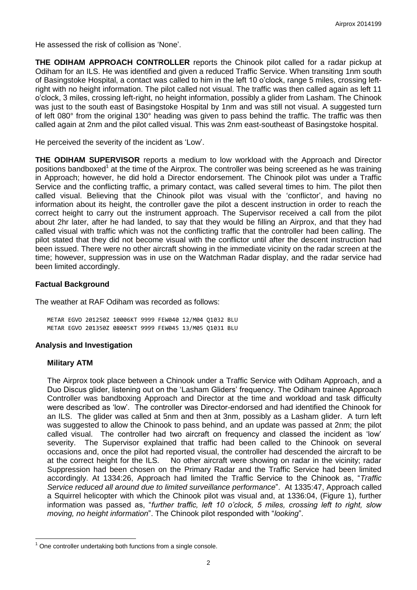He assessed the risk of collision as 'None'.

**THE ODIHAM APPROACH CONTROLLER** reports the Chinook pilot called for a radar pickup at Odiham for an ILS. He was identified and given a reduced Traffic Service. When transiting 1nm south of Basingstoke Hospital, a contact was called to him in the left 10 o'clock, range 5 miles, crossing leftright with no height information. The pilot called not visual. The traffic was then called again as left 11 o'clock, 3 miles, crossing left-right, no height information, possibly a glider from Lasham. The Chinook was just to the south east of Basingstoke Hospital by 1nm and was still not visual. A suggested turn of left 080° from the original 130° heading was given to pass behind the traffic. The traffic was then called again at 2nm and the pilot called visual. This was 2nm east-southeast of Basingstoke hospital.

He perceived the severity of the incident as 'Low'.

**THE ODIHAM SUPERVISOR** reports a medium to low workload with the Approach and Director positions bandboxed<sup>1</sup> at the time of the Airprox. The controller was being screened as he was training in Approach; however, he did hold a Director endorsement. The Chinook pilot was under a Traffic Service and the conflicting traffic, a primary contact, was called several times to him. The pilot then called visual. Believing that the Chinook pilot was visual with the 'conflictor', and having no information about its height, the controller gave the pilot a descent instruction in order to reach the correct height to carry out the instrument approach. The Supervisor received a call from the pilot about 2hr later, after he had landed, to say that they would be filling an Airprox, and that they had called visual with traffic which was not the conflicting traffic that the controller had been calling. The pilot stated that they did not become visual with the conflictor until after the descent instruction had been issued. There were no other aircraft showing in the immediate vicinity on the radar screen at the time; however, suppression was in use on the Watchman Radar display, and the radar service had been limited accordingly.

### **Factual Background**

The weather at RAF Odiham was recorded as follows:

METAR EGVO 201250Z 10006KT 9999 FEW040 12/M04 Q1032 BLU METAR EGVO 201350Z 08005KT 9999 FEW045 13/M05 Q1031 BLU

### **Analysis and Investigation**

#### **Military ATM**

 $\overline{a}$ 

The Airprox took place between a Chinook under a Traffic Service with Odiham Approach, and a Duo Discus glider, listening out on the 'Lasham Gliders' frequency. The Odiham trainee Approach Controller was bandboxing Approach and Director at the time and workload and task difficulty were described as 'low'. The controller was Director-endorsed and had identified the Chinook for an ILS. The glider was called at 5nm and then at 3nm, possibly as a Lasham glider. A turn left was suggested to allow the Chinook to pass behind, and an update was passed at 2nm; the pilot called visual. The controller had two aircraft on frequency and classed the incident as 'low' severity. The Supervisor explained that traffic had been called to the Chinook on several occasions and, once the pilot had reported visual, the controller had descended the aircraft to be at the correct height for the ILS. No other aircraft were showing on radar in the vicinity; radar Suppression had been chosen on the Primary Radar and the Traffic Service had been limited accordingly. At 1334:26, Approach had limited the Traffic Service to the Chinook as, "*Traffic Service reduced all around due to limited surveillance performance*". At 1335:47, Approach called a Squirrel helicopter with which the Chinook pilot was visual and, at 1336:04, (Figure 1), further information was passed as, "*further traffic, left 10 o'clock, 5 miles, crossing left to right, slow moving, no height information*". The Chinook pilot responded with "*looking*".

 $1$  One controller undertaking both functions from a single console.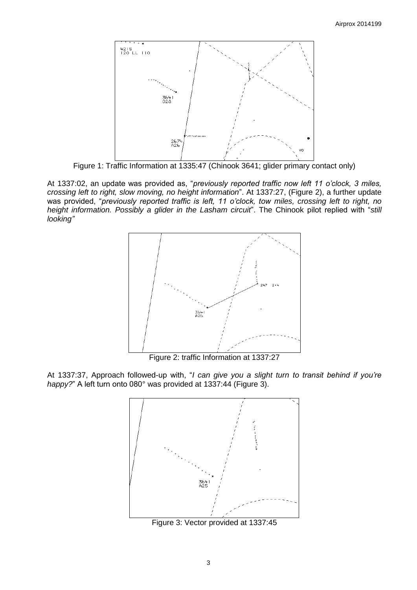

Figure 1: Traffic Information at 1335:47 (Chinook 3641; glider primary contact only)

At 1337:02, an update was provided as, "*previously reported traffic now left 11 o'clock, 3 miles, crossing left to right, slow moving, no height information*". At 1337:27, (Figure 2), a further update was provided, "*previously reported traffic is left, 11 o'clock, tow miles, crossing left to right, no height information. Possibly a glider in the Lasham circuit*". The Chinook pilot replied with "*still looking"*



Figure 2: traffic Information at 1337:27

At 1337:37, Approach followed-up with, "*I can give you a slight turn to transit behind if you're happy?*" A left turn onto 080° was provided at 1337:44 (Figure 3).



Figure 3: Vector provided at 1337:45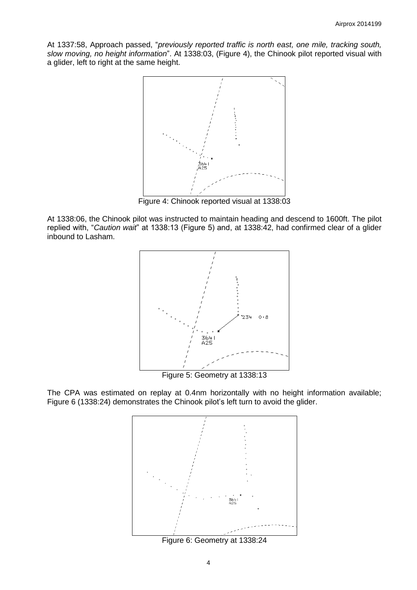At 1337:58, Approach passed, "*previously reported traffic is north east, one mile, tracking south, slow moving, no height information*". At 1338:03, (Figure 4), the Chinook pilot reported visual with a glider, left to right at the same height.



Figure 4: Chinook reported visual at 1338:03

At 1338:06, the Chinook pilot was instructed to maintain heading and descend to 1600ft. The pilot replied with, "*Caution wait*" at 1338:13 (Figure 5) and, at 1338:42, had confirmed clear of a glider inbound to Lasham.



Figure 5: Geometry at 1338:13

The CPA was estimated on replay at 0.4nm horizontally with no height information available; Figure 6 (1338:24) demonstrates the Chinook pilot's left turn to avoid the glider.



Figure 6: Geometry at 1338:24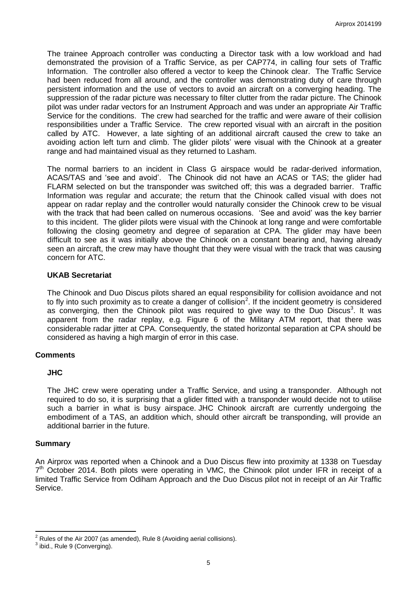The trainee Approach controller was conducting a Director task with a low workload and had demonstrated the provision of a Traffic Service, as per CAP774, in calling four sets of Traffic Information. The controller also offered a vector to keep the Chinook clear. The Traffic Service had been reduced from all around, and the controller was demonstrating duty of care through persistent information and the use of vectors to avoid an aircraft on a converging heading. The suppression of the radar picture was necessary to filter clutter from the radar picture. The Chinook pilot was under radar vectors for an Instrument Approach and was under an appropriate Air Traffic Service for the conditions. The crew had searched for the traffic and were aware of their collision responsibilities under a Traffic Service. The crew reported visual with an aircraft in the position called by ATC. However, a late sighting of an additional aircraft caused the crew to take an avoiding action left turn and climb. The glider pilots' were visual with the Chinook at a greater range and had maintained visual as they returned to Lasham.

The normal barriers to an incident in Class G airspace would be radar-derived information, ACAS/TAS and 'see and avoid'. The Chinook did not have an ACAS or TAS; the glider had FLARM selected on but the transponder was switched off; this was a degraded barrier. Traffic Information was regular and accurate; the return that the Chinook called visual with does not appear on radar replay and the controller would naturally consider the Chinook crew to be visual with the track that had been called on numerous occasions. 'See and avoid' was the key barrier to this incident. The glider pilots were visual with the Chinook at long range and were comfortable following the closing geometry and degree of separation at CPA. The glider may have been difficult to see as it was initially above the Chinook on a constant bearing and, having already seen an aircraft, the crew may have thought that they were visual with the track that was causing concern for ATC.

### **UKAB Secretariat**

The Chinook and Duo Discus pilots shared an equal responsibility for collision avoidance and not to fly into such proximity as to create a danger of collision<sup>2</sup>. If the incident geometry is considered as converging, then the Chinook pilot was required to give way to the Duo Discus<sup>3</sup>. It was apparent from the radar replay, e.g. Figure 6 of the Military ATM report, that there was considerable radar jitter at CPA. Consequently, the stated horizontal separation at CPA should be considered as having a high margin of error in this case.

# **Comments**

### **JHC**

The JHC crew were operating under a Traffic Service, and using a transponder. Although not required to do so, it is surprising that a glider fitted with a transponder would decide not to utilise such a barrier in what is busy airspace. JHC Chinook aircraft are currently undergoing the embodiment of a TAS, an addition which, should other aircraft be transponding, will provide an additional barrier in the future.

#### **Summary**

An Airprox was reported when a Chinook and a Duo Discus flew into proximity at 1338 on Tuesday 7<sup>th</sup> October 2014. Both pilots were operating in VMC, the Chinook pilot under IFR in receipt of a limited Traffic Service from Odiham Approach and the Duo Discus pilot not in receipt of an Air Traffic Service.

 $\overline{\phantom{a}}$  $2^2$  Rules of the Air 2007 (as amended), Rule 8 (Avoiding aerial collisions).

 $3$  ibid., Rule 9 (Converging).